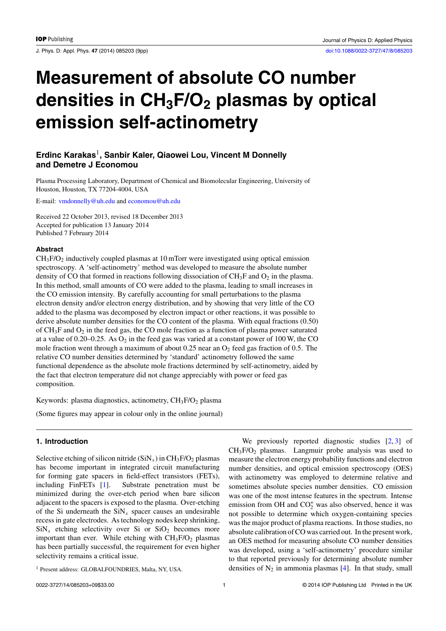J. Phys. D: Appl. Phys. **47** (2014) 085203 (9pp) [doi:10.1088/0022-3727/47/8/085203](http://dx.doi.org/10.1088/0022-3727/47/8/085203)

# **Measurement of absolute CO number densities in CH3F/O2 plasmas by optical emission self-actinometry**

## **Erdinc Karakas**1**, Sanbir Kaler, Qiaowei Lou, Vincent M Donnelly and Demetre J Economou**

Plasma Processing Laboratory, Department of Chemical and Biomolecular Engineering, University of Houston, Houston, TX 77204-4004, USA

E-mail: [vmdonnelly@uh.edu](mailto: vmdonnelly@uh.edu) and [economou@uh.edu](mailto: economou@uh.edu)

Received 22 October 2013, revised 18 December 2013 Accepted for publication 13 January 2014 Published 7 February 2014

#### **Abstract**

 $CH<sub>3</sub>F/O<sub>2</sub>$  inductively coupled plasmas at 10 mTorr were investigated using optical emission spectroscopy. A 'self-actinometry' method was developed to measure the absolute number density of CO that formed in reactions following dissociation of  $CH_3F$  and  $O_2$  in the plasma. In this method, small amounts of CO were added to the plasma, leading to small increases in the CO emission intensity. By carefully accounting for small perturbations to the plasma electron density and/or electron energy distribution, and by showing that very little of the CO added to the plasma was decomposed by electron impact or other reactions, it was possible to derive absolute number densities for the CO content of the plasma. With equal fractions (0.50) of  $CH_3F$  and  $O_2$  in the feed gas, the CO mole fraction as a function of plasma power saturated at a value of  $0.20-0.25$ . As  $O_2$  in the feed gas was varied at a constant power of 100 W, the CO mole fraction went through a maximum of about 0.25 near an  $O_2$  feed gas fraction of 0.5. The relative CO number densities determined by 'standard' actinometry followed the same functional dependence as the absolute mole fractions determined by self-actinometry, aided by the fact that electron temperature did not change appreciably with power or feed gas composition.

Keywords: plasma diagnostics, actinometry, CH<sub>3</sub>F/O<sub>2</sub> plasma

(Some figures may appear in colour only in the online journal)

## **1. Introduction**

Selective etching of silicon nitride  $(SiN_x)$  in  $CH_3F/O_2$  plasmas has become important in integrated circuit manufacturing for forming gate spacers in field-effect transistors (FETs), including FinFETs [\[1\]](#page-8-0). Substrate penetration must be minimized during the over-etch period when bare silicon adjacent to the spacers is exposed to the plasma. Over-etching of the Si underneath the  $\text{SiN}_x$  spacer causes an undesirable recess in gate electrodes. As technology nodes keep shrinking,  $\text{SiN}_x$  etching selectivity over Si or  $\text{SiO}_2$  becomes more important than ever. While etching with  $CH<sub>3</sub>F/O<sub>2</sub>$  plasmas has been partially successful, the requirement for even higher selectivity remains a critical issue.

We previously reported diagnostic studies  $[2, 3]$  $[2, 3]$  $[2, 3]$  of  $CH<sub>3</sub>F/O<sub>2</sub>$  plasmas. Langmuir probe analysis was used to measure the electron energy probability functions and electron number densities, and optical emission spectroscopy (OES) with actinometry was employed to determine relative and sometimes absolute species number densities. CO emission was one of the most intense features in the spectrum. Intense emission from OH and  $CO<sub>2</sub><sup>+</sup>$  was also observed, hence it was not possible to determine which oxygen-containing species was the major product of plasma reactions. In those studies, no absolute calibration of CO was carried out. In the present work, an OES method for measuring absolute CO number densities was developed, using a 'self-actinometry' procedure similar to that reported previously for determining absolute number densities of  $N_2$  in ammonia plasmas [\[4\]](#page-8-0). In that study, small

<sup>&</sup>lt;sup>1</sup> Present address: GLOBALFOUNDRIES, Malta, NY, USA.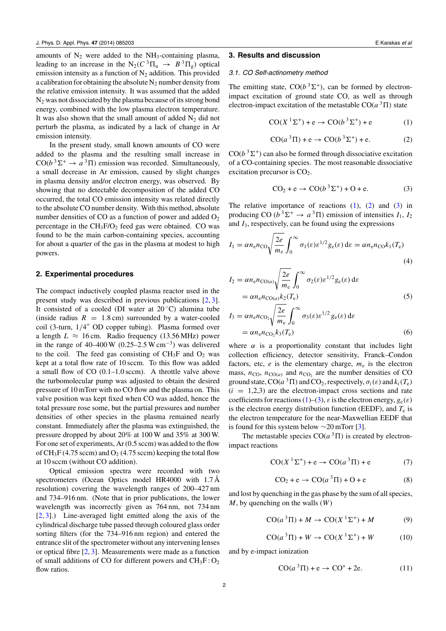<span id="page-1-0"></span>amounts of  $N_2$  were added to the NH<sub>3</sub>-containing plasma, leading to an increase in the  $N_2(C^3\Pi_u \rightarrow B^3\Pi_g)$  optical emission intensity as a function of  $N_2$  addition. This provided a calibration for obtaining the absolute  $N_2$  number density from the relative emission intensity. It was assumed that the added N2 was not dissociated by the plasma because of its strong bond energy, combined with the low plasma electron temperature. It was also shown that the small amount of added  $N_2$  did not perturb the plasma, as indicated by a lack of change in Ar emission intensity.

In the present study, small known amounts of CO were added to the plasma and the resulting small increase in  $CO(b^3\Sigma^+ \rightarrow a^3\Pi)$  emission was recorded. Simultaneously, a small decrease in Ar emission, caused by slight changes in plasma density and/or electron energy, was observed. By showing that no detectable decomposition of the added CO occurred, the total CO emission intensity was related directly to the absolute CO number density. With this method, absolute number densities of CO as a function of power and added  $O<sub>2</sub>$ percentage in the  $CH_3F/O_2$  feed gas were obtained. CO was found to be the main carbon-containing species, accounting for about a quarter of the gas in the plasma at modest to high powers.

#### **2. Experimental procedures**

The compact inductively coupled plasma reactor used in the present study was described in previous publications [\[2,](#page-8-0) [3\]](#page-8-0). It consisted of a cooled (DI water at  $20^{\circ}$ C) alumina tube (inside radius  $R = 1.8$  cm) surrounded by a water-cooled coil (3-turn,  $1/4''$  OD copper tubing). Plasma formed over a length  $L \approx 16$  cm. Radio frequency (13.56 MHz) power in the range of 40–400 W (0.25–2.5 W cm<sup>-3</sup>) was delivered to the coil. The feed gas consisting of  $CH<sub>3</sub>F$  and  $O<sub>2</sub>$  was kept at a total flow rate of 10 sccm. To this flow was added a small flow of CO (0.1–1.0 sccm). A throttle valve above the turbomolecular pump was adjusted to obtain the desired pressure of 10 mTorr with no CO flow and the plasma on. This valve position was kept fixed when CO was added, hence the total pressure rose some, but the partial pressures and number densities of other species in the plasma remained nearly constant. Immediately after the plasma was extinguished, the pressure dropped by about 20% at 100 W and 35% at 300 W. For one set of experiments, Ar (0.5 sccm) was added to the flow of  $CH_3F$  (4.75 sccm) and O<sub>2</sub> (4.75 sccm) keeping the total flow at 10 sccm (without CO addition).

Optical emission spectra were recorded with two spectrometers (Ocean Optics model HR4000 with 1.7 Å resolution) covering the wavelength ranges of 200–427 nm and 734–916 nm. (Note that in prior publications, the lower wavelength was incorrectly given as 764 nm, not 734 nm [\[2,](#page-8-0) [3\]](#page-8-0).) Line-averaged light emitted along the axis of the cylindrical discharge tube passed through coloured glass order sorting filters (for the 734–916 nm region) and entered the entrance slit of the spectrometer without any intervening lenses or optical fibre [\[2,](#page-8-0) [3\]](#page-8-0). Measurements were made as a function of small additions of CO for different powers and  $CH_3F:O_2$ flow ratios.

#### **3. Results and discussion**

#### *3.1. CO Self-actinometry method*

The emitting state,  $CO(b^3\Sigma^+)$ , can be formed by electronimpact excitation of ground state CO, as well as through electron-impact excitation of the metastable  $CO(a^3\Pi)$  state

$$
CO(X1\Sigma+) + e \rightarrow CO(b3\Sigma+) + e
$$
 (1)

$$
CO(a3 \Pi) + e \rightarrow CO(b3 \Sigma+) + e.
$$
 (2)

 $CO(b^3\Sigma^+)$  can also be formed through dissociative excitation of a CO-containing species. The most reasonable dissociative excitation precursor is  $CO<sub>2</sub>$ .

$$
CO2 + e \rightarrow CO(b3Σ+) + O + e.
$$
 (3)

The relative importance of reactions  $(1)$ ,  $(2)$  and  $(3)$  in producing CO ( $b^3\Sigma^+$   $\rightarrow$   $a^3\Pi$ ) emission of intensities  $I_1$ ,  $I_2$ and *I*3, respectively, can be found using the expressions

$$
I_1 = \alpha n_{\rm e} n_{\rm CO} \sqrt{\frac{2e}{m_{\rm e}}} \int_0^\infty \sigma_1(\varepsilon) \varepsilon^{1/2} g_{\rm e}(\varepsilon) \, \mathrm{d}\varepsilon = \alpha n_{\rm e} n_{\rm CO} k_1(T_{\rm e}) \tag{4}
$$

$$
I_2 = \alpha n_e n_{\text{CO}(a)} \sqrt{\frac{2e}{m_e}} \int_0^\infty \sigma_2(\varepsilon) \varepsilon^{1/2} g_e(\varepsilon) \,d\varepsilon
$$
  
=  $\alpha n_e n_{\text{CO}(a)} k_2(T_e)$  (5)

$$
I_3 = \alpha n_e n_{\text{CO}_2} \sqrt{\frac{2e}{m_e}} \int_0^\infty \sigma_3(\varepsilon) \varepsilon^{1/2} g_e(\varepsilon) \,d\varepsilon
$$
  
=  $\alpha n_e n_{\text{CO}_2} k_3(T_e)$  (6)

where  $\alpha$  is a proportionality constant that includes light collection efficiency, detector sensitivity, Franck–Condon factors, etc,  $e$  is the elementary charge,  $m_e$  is the electron mass,  $n_{\text{CO}}$ ,  $n_{\text{CO}(a)}$  and  $n_{\text{CO}_2}$  are the number densities of CO ground state,  $CO(a^3\Pi)$  and  $CO_2$ , respectively,  $\sigma_i(\varepsilon)$  and  $k_i(T_e)$  $(i = 1,2,3)$  are the electron-impact cross sections and rate coefficients for reactions  $(1)$ – $(3)$ ,  $\varepsilon$  is the electron energy,  $g_e(\varepsilon)$ is the electron energy distribution function (EEDF), and  $T_e$  is the electron temperature for the near-Maxwellian EEDF that is found for this system below  $\sim$ 20 mTorr [\[3\]](#page-8-0).

The metastable species  $CO(a^3\Pi)$  is created by electronimpact reactions

$$
CO(X1\Sigma+) + e \rightarrow CO(a3\Pi) + e
$$
 (7)

$$
CO2 + e \rightarrow CO(a3 \Pi) + O + e
$$
 (8)

and lost by quenching in the gas phase by the sum of all species, *M*, by quenching on the walls (*W*)

$$
CO(a^{3}\Pi) + M \rightarrow CO(X^{1}\Sigma^{+}) + M \tag{9}
$$

$$
CO(a^{3}\Pi) + W \rightarrow CO(X^{1}\Sigma^{+}) + W \tag{10}
$$

and by e-impact ionization

$$
CO(a3 \Pi) + e \rightarrow CO+ + 2e.
$$
 (11)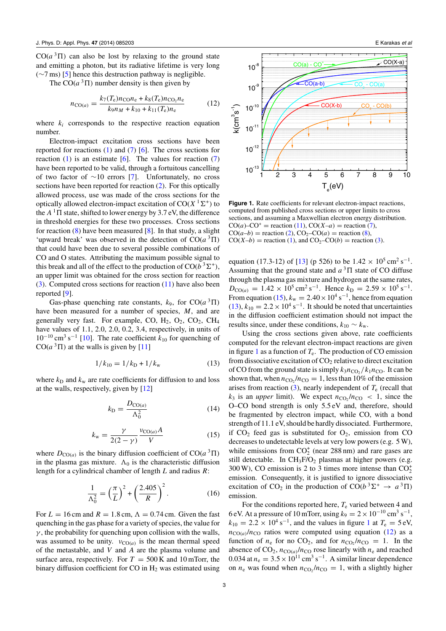<span id="page-2-0"></span> $CO(a^3\Pi)$  can also be lost by relaxing to the ground state and emitting a photon, but its radiative lifetime is very long (∼7 ms) [\[5\]](#page-8-0) hence this destruction pathway is negligible.

The  $CO(a^3\Pi)$  number density is then given by

$$
n_{\text{CO}(a)} = \frac{k_7(T_e)n_{\text{CO}}n_e + k_8(T_e)n_{\text{CO}_2}n_e}{k_9n_M + k_{10} + k_{11}(T_e)n_e} \tag{12}
$$

where  $k_i$  corresponds to the respective reaction equation number.

Electron-impact excitation cross sections have been reported for reactions  $(1)$  and  $(7)$  [\[6\]](#page-8-0). The cross sections for reaction [\(1\)](#page-1-0) is an estimate  $[6]$ . The values for reaction [\(7\)](#page-1-0) have been reported to be valid, through a fortuitous cancelling of two factor of ∼10 errors [\[7\]](#page-8-0). Unfortunately, no cross sections have been reported for reaction [\(2\)](#page-1-0). For this optically allowed process, use was made of the cross sections for the optically allowed electron-impact excitation of  $CO(X<sup>1</sup>Σ<sup>+</sup>)$  to the  $A<sup>1</sup>$   $\Pi$  state, shifted to lower energy by 3.7 eV, the difference in threshold energies for these two processes. Cross sections for reaction [\(8\)](#page-1-0) have been measured [\[8\]](#page-8-0). In that study, a slight 'upward break' was observed in the detection of  $CO(a^3\Pi)$ that could have been due to several possible combinations of CO and O states. Attributing the maximum possible signal to this break and all of the effect to the production of  $CO(b^3\Sigma^+)$ , an upper limit was obtained for the cross section for reaction [\(3\)](#page-1-0). Computed cross sections for reaction [\(11\)](#page-1-0) have also been reported [\[9\]](#page-8-0).

Gas-phase quenching rate constants,  $k_9$ , for  $CO(a^3\Pi)$ have been measured for a number of species, *M*, and are generally very fast. For example, CO,  $H_2$ ,  $O_2$ ,  $CO_2$ ,  $CH_4$ have values of 1.1, 2.0, 2.0, 0.2, 3.4, respectively, in units of  $10^{-10}$  cm<sup>3</sup> s<sup>-1</sup> [\[10\]](#page-8-0). The rate coefficient  $k_{10}$  for quenching of  $CO(a^3\Pi)$  at the walls is given by [\[11\]](#page-8-0)

$$
1/k_{10} = 1/k_{\rm D} + 1/k_{\rm w} \tag{13}
$$

where  $k_D$  and  $k_w$  are rate coefficients for diffusion to and loss at the walls, respectively, given by [\[12\]](#page-8-0)

$$
k_{\rm D} = \frac{D_{\rm CO(a)}}{\Lambda_0^2} \tag{14}
$$

$$
k_{\rm w} = \frac{\gamma}{2(2-\gamma)} \frac{v_{\rm CO(a)}A}{V} \tag{15}
$$

where  $D_{\text{CO}(a)}$  is the binary diffusion coefficient of  $\text{CO}(a^3\Pi)$ in the plasma gas mixture.  $\Lambda_0$  is the characteristic diffusion length for a cylindrical chamber of length *L* and radius *R*:

$$
\frac{1}{\Lambda_0^2} = \left(\frac{\pi}{L}\right)^2 + \left(\frac{2.405}{R}\right)^2.
$$
 (16)

For  $L = 16$  cm and  $R = 1.8$  cm,  $\Lambda = 0.74$  cm. Given the fast quenching in the gas phase for a variety of species, the value for  $\gamma$ , the probability for quenching upon collision with the walls, was assumed to be unity.  $v_{CO(a)}$  is the mean thermal speed of the metastable, and *V* and *A* are the plasma volume and surface area, respectively. For  $T = 500$  K and 10 mTorr, the binary diffusion coefficient for CO in  $H_2$  was estimated using



Figure 1. Rate coefficients for relevant electron-impact reactions, computed from published cross sections or upper limits to cross sections, and assuming a Maxwellian electron energy distribution.  $CO(a)-CO^{+}$  = reaction [\(11\)](#page-1-0),  $CO(X-a)$  = reaction [\(7\)](#page-1-0),  $CO(a-b)$  = reaction [\(2\)](#page-1-0),  $CO<sub>2</sub>-CO(a)$  = reaction [\(8\)](#page-1-0),  $CO(X-b)$  = reaction [\(1\)](#page-1-0), and  $CO<sub>2</sub>-CO(b)$  = reaction [\(3\)](#page-1-0).

equation (17.3-12) of [\[13\]](#page-8-0) (p 526) to be  $1.42 \times 10^5$  cm<sup>2</sup> s<sup>-1</sup>. Assuming that the ground state and  $a<sup>3</sup>$  I state of CO diffuse through the plasma gas mixture and hydrogen at the same rates,  $D_{\text{CO}(a)} = 1.42 \times 10^5 \text{ cm}^2 \text{ s}^{-1}$ . Hence  $k_D = 2.59 \times 10^5 \text{ s}^{-1}$ . From equation (15),  $k_w = 2.40 \times 10^4$  s<sup>-1</sup>, hence from equation  $(13)$ ,  $k_{10} = 2.2 \times 10^4$  s<sup>-1</sup>. It should be noted that uncertainties in the diffusion coefficient estimation should not impact the results since, under these conditions,  $k_{10} \sim k_{\rm w}$ .

Using the cross sections given above, rate coefficients computed for the relevant electron-impact reactions are given in figure 1 as a function of  $T_e$ . The production of CO emission from dissociative excitation of  $CO<sub>2</sub>$  relative to direct excitation of CO from the ground state is simply  $k_3n_{\text{CO}_2}/k_1n_{\text{CO}}$ . It can be shown that, when  $n_{\text{CO}}/n_{\text{CO}} = 1$ , less than 10% of the emission arises from reaction  $(3)$ , nearly independent of  $T_e$  (recall that  $k_3$  is an *upper* limit). We expect  $n_{\text{CO}_2}/n_{\text{CO}} < 1$ , since the O–CO bond strength is only 5.5 eV and, therefore, should be fragmented by electron impact, while CO, with a bond strength of 11.1 eV, should be hardly dissociated. Furthermore, if  $CO<sub>2</sub>$  feed gas is substituted for  $O<sub>2</sub>$ , emission from CO decreases to undetectable levels at very low powers (e.g. 5 W), while emissions from  $CO_2^+$  (near 288 nm) and rare gases are still detectable. In  $CH_3F/O_2$  plasmas at higher powers (e.g. 300 W), CO emission is 2 to 3 times more intense than  $CO<sub>2</sub><sup>+</sup>$ emission. Consequently, it is justified to ignore dissociative excitation of CO<sub>2</sub> in the production of CO( $b^3\Sigma^+ \rightarrow a^3\Pi$ ) emission.

For the conditions reported here,  $T_e$  varied between 4 and 6 eV. At a pressure of 10 mTorr, using  $k_9 = 2 \times 10^{-10}$  cm<sup>3</sup> s<sup>-1</sup>,  $k_{10} = 2.2 \times 10^4 \text{ s}^{-1}$ , and the values in figure 1 at  $T_e = 5 \text{ eV}$ ,  $n_{\text{CO}(a)}/n_{\text{CO}}$  ratios were computed using equation (12) as a function of  $n_e$  for no CO<sub>2</sub>, and for  $n_{\text{CO}_2}/n_{\text{CO}} = 1$ . In the absence of  $CO_2$ ,  $n_{CO(a)}/n_{CO}$  rose linearly with  $n_e$  and reached 0.034 at  $n_e = 3.5 \times 10^{11}$  cm<sup>3</sup> s<sup>-1</sup>. A similar linear dependence on  $n_e$  was found when  $n_{CO_2}/n_{CO} = 1$ , with a slightly higher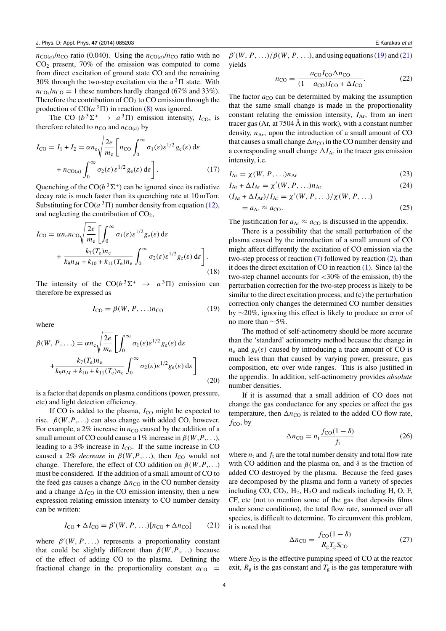<span id="page-3-0"></span> $n_{\text{CO}(a)}/n_{\text{CO}}$  ratio (0.040). Using the  $n_{\text{CO}(a)}/n_{\text{CO}}$  ratio with no  $CO<sub>2</sub>$  present, 70% of the emission was computed to come from direct excitation of ground state CO and the remaining 30% through the two-step excitation via the  $a<sup>3</sup> \Pi$  state. With  $n_{\text{CO}}/n_{\text{CO}} = 1$  these numbers hardly changed (67% and 33%). Therefore the contribution of  $CO<sub>2</sub>$  to  $CO$  emission through the production of  $CO(a^3\Pi)$  in reaction [\(8\)](#page-1-0) was ignored.

The CO ( $b^3\Sigma^+$   $\rightarrow$   $a^3\Pi$ ) emission intensity,  $I_{\text{CO}}$ , is therefore related to  $n_{\text{CO}}$  and  $n_{\text{CO}(a)}$  by

$$
I_{\text{CO}} = I_1 + I_2 = \alpha n_{\text{e}} \sqrt{\frac{2e}{m_{\text{e}}}} \left[ n_{\text{CO}} \int_0^\infty \sigma_1(\varepsilon) \varepsilon^{1/2} g_{\text{e}}(\varepsilon) \, \mathrm{d}\varepsilon + n_{\text{CO}(a)} \int_0^\infty \sigma_2(\varepsilon) \varepsilon^{1/2} g_{\text{e}}(\varepsilon) \, \mathrm{d}\varepsilon \right]. \tag{17}
$$

Quenching of the  $CO(b^3\Sigma^+)$  can be ignored since its radiative decay rate is much faster than its quenching rate at 10 mTorr. Substituting for  $CO(a^3\Pi)$  number density from equation [\(12\)](#page-2-0), and neglecting the contribution of  $CO<sub>2</sub>$ ,

$$
I_{\rm{CO}} = \alpha n_{\rm{e}} n_{\rm{CO}} \sqrt{\frac{2e}{m_{\rm{e}}}} \left[ \int_0^\infty \sigma_1(\varepsilon) \varepsilon^{1/2} g_{\rm{e}}(\varepsilon) \, \mathrm{d}\varepsilon \right. \\ + \left. \frac{k_7(T_{\rm{e}}) n_{\rm{e}}}{k_9 n_M + k_{10} + k_{11} (T_{\rm{e}}) n_{\rm{e}}} \int_0^\infty \sigma_2(\varepsilon) \varepsilon^{1/2} g_{\rm{e}}(\varepsilon) \, \mathrm{d}\varepsilon \right]. \tag{18}
$$

The intensity of the  $CO(b^3\Sigma^+ \rightarrow a^3\Pi)$  emission can therefore be expressed as

$$
I_{\rm CO} = \beta(W, P, \ldots) n_{\rm CO} \tag{19}
$$

where

$$
\beta(W, P, \ldots) = \alpha n_e \sqrt{\frac{2e}{m_e}} \left[ \int_0^\infty \sigma_1(\varepsilon) \varepsilon^{1/2} g_e(\varepsilon) d\varepsilon + \frac{k_7(T_e) n_e}{k_9 n_M + k_{10} + k_{11}(T_e) n_e} \int_0^\infty \sigma_2(\varepsilon) \varepsilon^{1/2} g_e(\varepsilon) d\varepsilon \right]
$$
\n(20)

is a factor that depends on plasma conditions (power, pressure, etc) and light detection efficiency.

If CO is added to the plasma,  $I_{\text{CO}}$  might be expected to rise.  $\beta(W, P, \ldots)$  can also change with added CO, however. For example, a  $2\%$  increase in  $n_{\text{CO}}$  caused by the addition of a small amount of CO could cause a 1% increase in  $\beta(W, P, \ldots)$ , leading to a  $3\%$  increase in  $I_{\text{CO}}$ . If the same increase in CO caused a 2% *decrease* in  $\beta(W, P, \ldots)$ , then *I*<sub>CO</sub> would not change. Therefore, the effect of CO addition on  $\beta(W, P, \ldots)$ must be considered. If the addition of a small amount of CO to the feed gas causes a change  $\Delta n_{\text{CO}}$  in the CO number density and a change  $\Delta I_{\text{CO}}$  in the CO emission intensity, then a new expression relating emission intensity to CO number density can be written:

$$
I_{\rm CO} + \Delta I_{\rm CO} = \beta'(W, P, \ldots) [n_{\rm CO} + \Delta n_{\rm CO}] \tag{21}
$$

where  $\beta'(W, P, \ldots)$  represents a proportionality constant that could be slightly different than  $\beta(W, P, \ldots)$  because of the effect of adding CO to the plasma. Defining the fractional change in the proportionality constant  $a_{\text{CO}}$  =

 $\beta'(W, P, \ldots)/\beta(W, P, \ldots)$ , and using equations (19) and (21) yields

$$
n_{\rm CO} = \frac{a_{\rm CO} I_{\rm CO} \Delta n_{\rm CO}}{(1 - a_{\rm CO}) I_{\rm CO} + \Delta I_{\rm CO}}.\tag{22}
$$

The factor  $a_{\rm CO}$  can be determined by making the assumption that the same small change is made in the proportionality constant relating the emission intensity,  $I_{Ar}$ , from an inert tracer gas (Ar, at 7504 Å in this work), with a constant number density,  $n_{Ar}$ , upon the introduction of a small amount of CO that causes a small change  $\Delta n_{\text{CO}}$  in the CO number density and a corresponding small change  $\Delta I_{\text{Ar}}$  in the tracer gas emission intensity, i.e.

$$
I_{\text{Ar}} = \chi(W, P, \ldots) n_{\text{Ar}} \tag{23}
$$

$$
I_{\text{Ar}} + \Delta I_{\text{Ar}} = \chi'(W, P, \ldots) n_{\text{Ar}} \tag{24}
$$

$$
(IAr + \Delta IAr)/IAr = \chi'(W, P, \ldots)/\chi(W, P, \ldots)
$$
  
=  $aAr \approx aCO.$  (25)

The justification for  $a_{Ar} \approx a_{CO}$  is discussed in the appendix.

There is a possibility that the small perturbation of the plasma caused by the introduction of a small amount of CO might affect differently the excitation of CO emission via the two-step process of reaction  $(7)$  followed by reaction  $(2)$ , than it does the direct excitation of CO in reaction [\(1\)](#page-1-0). Since (a) the two-step channel accounts for *<*30% of the emission, (b) the perturbation correction for the two-step process is likely to be similar to the direct excitation process, and (c) the perturbation correction only changes the determined CO number densities by ∼20%, ignoring this effect is likely to produce an error of no more than ∼5%.

The method of self-actinometry should be more accurate than the 'standard' actinometry method because the change in  $n_e$  and  $g_e(\varepsilon)$  caused by introducing a trace amount of CO is much less than that caused by varying power, pressure, gas composition, etc over wide ranges. This is also justified in the appendix. In addition, self-actinometry provides *absolute* number densities.

If it is assumed that a small addition of CO does not change the gas conductance for any species or affect the gas temperature, then  $\Delta n_{\text{CO}}$  is related to the added CO flow rate,  $f_{CO}$ , by

$$
\Delta n_{\rm CO} = n_{\rm t} \frac{f_{\rm CO}(1-\delta)}{f_{\rm t}} \tag{26}
$$

where  $n_t$  and  $f_t$  are the total number density and total flow rate with CO addition and the plasma on, and *δ* is the fraction of added CO destroyed by the plasma. Because the feed gases are decomposed by the plasma and form a variety of species including CO,  $CO<sub>2</sub>$ ,  $H<sub>2</sub>$ ,  $H<sub>2</sub>O$  and radicals including H, O, F, CF, etc (not to mention some of the gas that deposits films under some conditions), the total flow rate, summed over all species, is difficult to determine. To circumvent this problem, it is noted that

$$
\Delta n_{\rm CO} = \frac{f_{\rm CO}(1-\delta)}{R_{\rm g}T_{\rm g}S_{\rm CO}}\tag{27}
$$

where  $S_{\text{CO}}$  is the effective pumping speed of CO at the reactor exit,  $R_g$  is the gas constant and  $T_g$  is the gas temperature with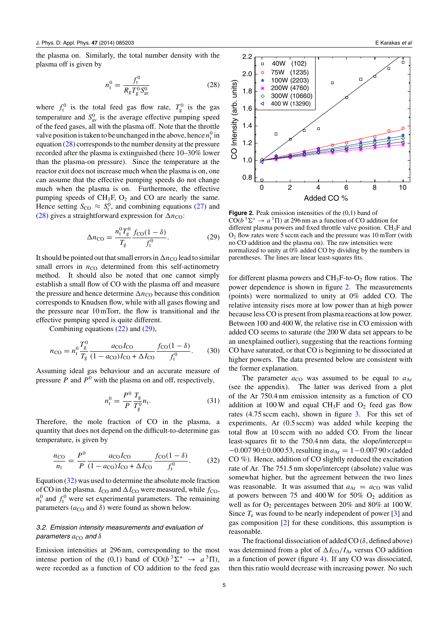<span id="page-4-0"></span>the plasma on. Similarly, the total number density with the plasma off is given by

$$
n_{\rm t}^0 = \frac{f_{\rm t}^0}{R_{\rm g} T_{\rm g}^0 S_{\rm av}^0} \tag{28}
$$

where  $f_t^0$  is the total feed gas flow rate,  $T_g^0$  is the gas temperature and  $S_{av}^{0}$  is the average effective pumping speed of the feed gases, all with the plasma off. Note that the throttle valve position is taken to be unchanged in the above, hence  $n_t^0$  in equation (28) corresponds to the number density at the pressure recorded after the plasma is extinguished (here 10–30% lower than the plasma-on pressure). Since the temperature at the reactor exit does not increase much when the plasma is on, one can assume that the effective pumping speeds do not change much when the plasma is on. Furthermore, the effective pumping speeds of  $CH_3F$ ,  $O_2$  and CO are nearly the same. Hence setting  $S_{\text{CO}} \approx S_t^0$ , and combining equations [\(27\)](#page-3-0) and (28) gives a straightforward expression for  $\Delta n_{\text{CO}}$ :

$$
\Delta n_{\rm CO} = \frac{n_{\rm t}^0 T_{\rm g}^0}{T_{\rm g}} \frac{f_{\rm CO}(1-\delta)}{f_{\rm t}^0}.
$$
 (29)

It should be pointed out that small errors in  $\Delta n_{\text{CO}}$  lead to similar small errors in  $n_{\text{CO}}$  determined from this self-actinometry method. It should also be noted that one cannot simply establish a small flow of CO with the plasma off and measure the pressure and hence determine  $\Delta n_{\rm CO}$  because this condition corresponds to Knudsen flow, while with all gases flowing and the pressure near 10 mTorr, the flow is transitional and the effective pumping speed is quite different.

Combining equations [\(22\)](#page-3-0) and (29),

$$
n_{\rm CO} = n_{\rm t}^0 \frac{T_{\rm g}^0}{T_{\rm g}} \frac{a_{\rm CO} I_{\rm CO}}{(1 - a_{\rm CO}) I_{\rm CO} + \Delta I_{\rm CO}} \frac{f_{\rm CO}(1 - \delta)}{f_{\rm t}^0}.
$$
 (30)

Assuming ideal gas behaviour and an accurate measure of pressure  $P$  and  $P^0$  with the plasma on and off, respectively,

$$
n_{t}^{0} = \frac{P^{0}}{P} \frac{T_{g}}{T_{g}^{0}} n_{t}.
$$
 (31)

Therefore, the mole fraction of CO in the plasma, a quantity that does not depend on the difficult-to-determine gas temperature, is given by

$$
\frac{n_{\rm CO}}{n_{\rm t}} = \frac{P^0}{P} \frac{a_{\rm CO} I_{\rm CO}}{(1 - a_{\rm CO}) I_{\rm CO} + \Delta I_{\rm CO}} \frac{f_{\rm CO}(1 - \delta)}{f_{\rm t}^0}.
$$
(32)

Equation (32) was used to determine the absolute mole fraction of CO in the plasma.  $I_{\text{CO}}$  and  $\Delta I_{\text{CO}}$  were measured, while  $f_{\text{CO}}$ ,  $n_t^0$  and  $f_t^0$  were set experimental parameters. The remaining parameters  $(a_{\text{CO}}$  and  $\delta)$  were found as shown below.

## *3.2. Emission intensity measurements and evaluation of parameters*  $a<sub>CO</sub>$  *and*  $δ$

Emission intensities at 296 nm, corresponding to the most intense portion of the (0,1) band of  $CO(b^3\Sigma^+ \rightarrow a^3\Pi)$ , were recorded as a function of CO addition to the feed gas



**Figure 2.** Peak emission intensities of the  $(0,1)$  band of CO( $b^3\Sigma^+ \rightarrow a^3\Pi$ ) at 296 nm as a function of CO addition for different plasma powers and fixed throttle valve position.  $CH_3F$  and  $O<sub>2</sub>$  flow rates were 5 sccm each and the pressure was 10 mTorr (with no CO addition and the plasma on). The raw intensities were normalized to unity at 0% added CO by dividing by the numbers in parentheses. The lines are linear least-squares fits.

for different plasma powers and  $CH_3F$ -to- $O_2$  flow ratios. The power dependence is shown in figure 2. The measurements (points) were normalized to unity at 0% added CO. The relative intensity rises more at low power than at high power because less CO is present from plasma reactions at low power. Between 100 and 400 W, the relative rise in CO emission with added CO seems to saturate (the 200 W data set appears to be an unexplained outlier), suggesting that the reactions forming CO have saturated, or that CO is beginning to be dissociated at higher powers. The data presented below are consistent with the former explanation.

The parameter  $a_{\text{CO}}$  was assumed to be equal to  $a_{\text{Ar}}$ (see the appendix). The latter was derived from a plot of the Ar 750.4 nm emission intensity as a function of CO addition at 100 W and equal CH<sub>3</sub>F and  $O_2$  feed gas flow rates (4.75 sccm each), shown in figure [3.](#page-5-0) For this set of experiments, Ar (0.5 sccm) was added while keeping the total flow at 10 sccm with no added CO. From the linear least-squares fit to the 750.4 nm data, the slope/intercept= −0*.*007 90±0*.*000 53, resulting in *a*Ar = 1−0*.*007 90×(added CO %). Hence, addition of CO slightly reduced the excitation rate of Ar. The 751.5 nm slope/intercept (absolute) value was somewhat higher, but the agreement between the two lines was reasonable. It was assumed that  $a_{Ar} = a_{CO}$  was valid at powers between 75 and 400 W for 50%  $O_2$  addition as well as for  $O_2$  percentages between 20% and 80% at 100 W. Since  $T_e$  was found to be nearly independent of power  $[3]$  and gas composition [\[2\]](#page-8-0) for these conditions, this assumption is reasonable.

The fractional dissociation of added CO (*δ*, defined above) was determined from a plot of  $\Delta I_{\rm CO}/I_{\rm Ar}$  versus CO addition as a function of power (figure [4\)](#page-5-0). If any CO was dissociated, then this ratio would decrease with increasing power. No such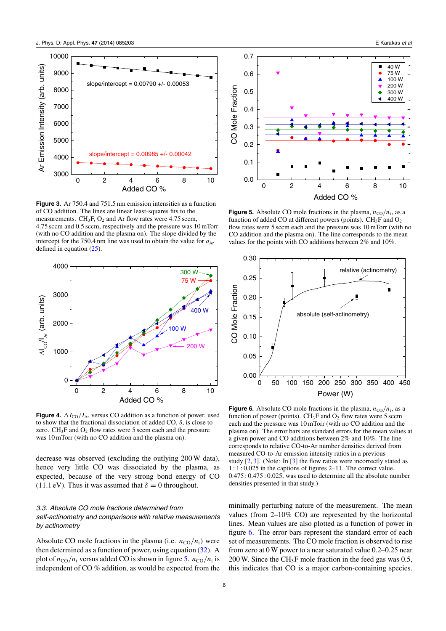<span id="page-5-0"></span>

**Figure 3.** Ar 750.4 and 751.5 nm emission intensities as a function of CO addition. The lines are linear least-squares fits to the measurements.  $CH_3F$ ,  $O_2$  and Ar flow rates were 4.75 sccm, 4.75 sccm and 0.5 sccm, respectively and the pressure was 10 mTorr (with no CO addition and the plasma on). The slope divided by the intercept for the 750.4 nm line was used to obtain the value for  $a_{Ar}$ defined in equation [\(25\)](#page-3-0).



**Figure 4.**  $\Delta I_{\text{CO}}/I_{\text{Ar}}$  versus CO addition as a function of power, used to show that the fractional dissociation of added CO, *δ*, is close to zero.  $CH_3F$  and  $O_2$  flow rates were 5 sccm each and the pressure was 10 mTorr (with no CO addition and the plasma on).

decrease was observed (excluding the outlying 200 W data), hence very little CO was dissociated by the plasma, as expected, because of the very strong bond energy of CO (11.1 eV). Thus it was assumed that  $\delta = 0$  throughout.

## *3.3. Absolute CO mole fractions determined from self-actinometry and comparisons with relative measurements by actinometry*

Absolute CO mole fractions in the plasma (i.e.  $n_{\text{CO}}/n_{\text{t}}$ ) were then determined as a function of power, using equation [\(32\)](#page-4-0). A plot of  $n_{\rm CO}/n_{\rm t}$  versus added CO is shown in figure 5.  $n_{\rm CO}/n_{\rm t}$  is independent of CO % addition, as would be expected from the



**Figure 5.** Absolute CO mole fractions in the plasma,  $n_{\text{CO}}/n_{\text{t}}$ , as a function of added CO at different powers (points).  $CH_3F$  and  $O_2$ flow rates were 5 sccm each and the pressure was 10 mTorr (with no CO addition and the plasma on). The line corresponds to the mean values for the points with CO additions between 2% and 10%.



**Figure 6.** Absolute CO mole fractions in the plasma,  $n_{\text{CO}}/n_t$ , as a function of power (points).  $CH_3F$  and  $O_2$  flow rates were 5 sccm each and the pressure was 10 mTorr (with no CO addition and the plasma on). The error bars are standard errors for the mean values at a given power and CO additions between 2% and 10%. The line corresponds to relative CO-to-Ar number densities derived from measured CO-to-Ar emission intensity ratios in a previous study [\[2,](#page-8-0) [3\]](#page-8-0). (Note: In [\[3\]](#page-8-0) the flow ratios were incorrectly stated as 1:1: 0.025 in the captions of figures 2–11. The correct value, 0.475 : 0.475 : 0.025, was used to determine all the absolute number densities presented in that study.)

minimally perturbing nature of the measurement. The mean values (from 2–10% CO) are represented by the horizontal lines. Mean values are also plotted as a function of power in figure 6. The error bars represent the standard error of each set of measurements. The CO mole fraction is observed to rise from zero at 0 W power to a near saturated value 0.2–0.25 near 200 W. Since the CH<sub>3</sub>F mole fraction in the feed gas was  $0.5$ , this indicates that CO is a major carbon-containing species.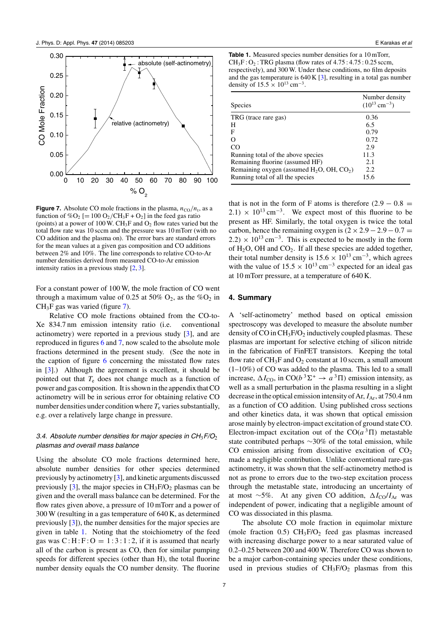<span id="page-6-0"></span>

**Figure 7.** Absolute CO mole fractions in the plasma,  $n_{\text{CO}}/n_t$ , as a function of %O<sub>2</sub> [= 100 O<sub>2</sub>/CH<sub>3</sub>F + O<sub>2</sub>] in the feed gas ratio (points) at a power of 100 W. CH<sub>3</sub>F and  $O_2$  flow rates varied but the total flow rate was 10 sccm and the pressure was 10 mTorr (with no CO addition and the plasma on). The error bars are standard errors for the mean values at a given gas composition and CO additions between 2% and 10%. The line corresponds to relative CO-to-Ar number densities derived from measured CO-to-Ar emission intensity ratios in a previous study [\[2,](#page-8-0) [3\]](#page-8-0).

For a constant power of 100 W, the mole fraction of CO went through a maximum value of 0.25 at 50%  $O_2$ , as the % $O_2$  in  $CH<sub>3</sub>F$  gas was varied (figure 7).

Relative CO mole fractions obtained from the CO-to-Xe 834.7 nm emission intensity ratio (i.e. conventional actinometry) were reported in a previous study [\[3\]](#page-8-0), and are reproduced in figures [6](#page-5-0) and 7, now scaled to the absolute mole fractions determined in the present study. (See the note in the caption of figure [6](#page-5-0) concerning the misstated flow rates in [\[3\]](#page-8-0).) Although the agreement is excellent, it should be pointed out that  $T_e$  does not change much as a function of power and gas composition. It is shown in the appendix that CO actinometry will be in serious error for obtaining relative CO number densities under condition where  $T_e$  varies substantially, e.g. over a relatively large change in pressure.

#### *3.4. Absolute number densities for major species in CH*3*F/O*<sup>2</sup> *plasmas and overall mass balance*

Using the absolute CO mole fractions determined here, absolute number densities for other species determined previously by actinometry [\[3\]](#page-8-0), and kinetic arguments discussed previously  $[3]$ , the major species in  $CH_3F/O_2$  plasmas can be given and the overall mass balance can be determined. For the flow rates given above, a pressure of 10 mTorr and a power of 300 W (resulting in a gas temperature of 640 K, as determined previously [\[3\]](#page-8-0)), the number densities for the major species are given in table 1. Noting that the stoichiometry of the feed gas was  $C : H : F : O = 1 : 3 : 1 : 2$ , if it is assumed that nearly all of the carbon is present as CO, then for similar pumping speeds for different species (other than H), the total fluorine number density equals the CO number density. The fluorine

**Table 1.** Measured species number densities for a 10 mTorr,  $CH_3F:O_2$ : TRG plasma (flow rates of 4.75: 4.75: 0.25 sccm, respectively), and 300 W. Under these conditions, no film deposits and the gas temperature is 640 K [\[3\]](#page-8-0), resulting in a total gas number density of  $15.5 \times 10^{13}$  cm<sup>-3</sup>.

| <b>Species</b>                                  | Number density<br>$(10^{13}$ cm <sup>-3</sup> ) |
|-------------------------------------------------|-------------------------------------------------|
| TRG (trace rare gas)                            | 0.36                                            |
| H                                               | 6.5                                             |
| F                                               | 0.79                                            |
|                                                 | 0.72                                            |
| CO.                                             | 2.9                                             |
| Running total of the above species              | 11.3                                            |
| Remaining fluorine (assumed HF)                 | 2.1                                             |
| Remaining oxygen (assumed $H_2O$ , OH, $CO_2$ ) | 2.2                                             |
| Running total of all the species                | 15.6                                            |

that is not in the form of F atoms is therefore  $(2.9 - 0.8 =$  $2.1) \times 10^{13}$  cm<sup>-3</sup>. We expect most of this fluorine to be present as HF. Similarly, the total oxygen is twice the total carbon, hence the remaining oxygen is  $(2 \times 2.9 - 2.9 - 0.7)$  $2.2) \times 10^{13}$  cm<sup>-3</sup>. This is expected to be mostly in the form of  $H_2O$ , OH and  $CO_2$ . If all these species are added together, their total number density is  $15.6 \times 10^{13}$  cm<sup>-3</sup>, which agrees with the value of  $15.5 \times 10^{13}$  cm<sup>-3</sup> expected for an ideal gas at 10 mTorr pressure, at a temperature of 640 K.

#### **4. Summary**

A 'self-actinometry' method based on optical emission spectroscopy was developed to measure the absolute number density of CO in  $CH_3F/O_2$  inductively coupled plasmas. These plasmas are important for selective etching of silicon nitride in the fabrication of FinFET transistors. Keeping the total flow rate of  $CH_3F$  and  $O_2$  constant at 10 sccm, a small amount (1–10%) of CO was added to the plasma. This led to a small increase,  $\Delta I_{\text{CO}}$ , in  $\text{CO}(b^3 \Sigma^+ \rightarrow a^3 \Pi)$  emission intensity, as well as a small perturbation in the plasma resulting in a slight decrease in the optical emission intensity of Ar,  $I_{\text{Ar}}$ , at 750.4 nm as a function of CO addition. Using published cross sections and other kinetics data, it was shown that optical emission arose mainly by electron-impact excitation of ground state CO. Electron-impact excitation out of the  $CO(a^3\Pi)$  metastable state contributed perhaps ∼30% of the total emission, while CO emission arising from dissociative excitation of  $CO<sub>2</sub>$ made a negligible contribution. Unlike conventional rare-gas actinometry, it was shown that the self-actinometry method is not as prone to errors due to the two-step excitation process through the metastable state, introducing an uncertainty of at most ∼5%. At any given CO addition,  $\Delta I_{\rm CO}/I_{\rm Ar}$  was independent of power, indicating that a negligible amount of CO was dissociated in this plasma.

The absolute CO mole fraction in equimolar mixture (mole fraction 0.5)  $CH_3F/O_2$  feed gas plasmas increased with increasing discharge power to a near saturated value of 0.2–0.25 between 200 and 400 W. Therefore CO was shown to be a major carbon-containing species under these conditions, used in previous studies of  $CH_3F/O_2$  plasmas from this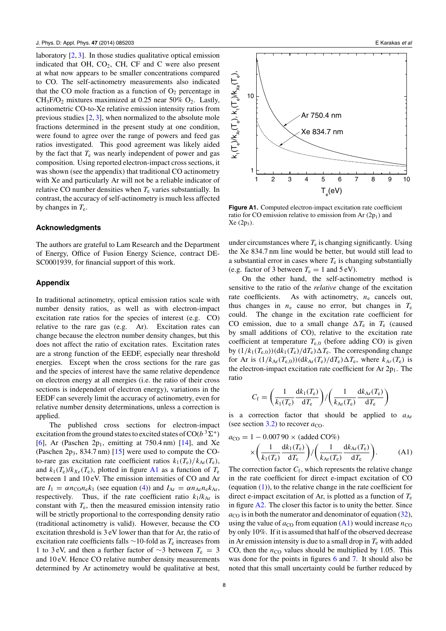laboratory [\[2,](#page-8-0) [3\]](#page-8-0). In those studies qualitative optical emission indicated that OH,  $CO<sub>2</sub>$ , CH, CF and C were also present at what now appears to be smaller concentrations compared to CO. The self-actinometry measurements also indicated that the CO mole fraction as a function of  $O_2$  percentage in  $CH_3F/O_2$  mixtures maximized at 0.25 near 50%  $O_2$ . Lastly, actinometric CO-to-Xe relative emission intensity ratios from previous studies [\[2,](#page-8-0) [3\]](#page-8-0), when normalized to the absolute mole fractions determined in the present study at one condition, were found to agree over the range of powers and feed gas ratios investigated. This good agreement was likely aided by the fact that  $T_e$  was nearly independent of power and gas composition. Using reported electron-impact cross sections, it was shown (see the appendix) that traditional CO actinometry with Xe and particularly Ar will not be a reliable indicator of relative CO number densities when  $T_e$  varies substantially. In contrast, the accuracy of self-actinometry is much less affected by changes in *T*e.

#### **Acknowledgments**

The authors are grateful to Lam Research and the Department of Energy, Office of Fusion Energy Science, contract DE-SC0001939, for financial support of this work.

#### **Appendix**

In traditional actinometry, optical emission ratios scale with number density ratios, as well as with electron-impact excitation rate ratios for the species of interest (e.g. CO) relative to the rare gas (e.g. Ar). Excitation rates can change because the electron number density changes, but this does not affect the ratio of excitation rates. Excitation rates are a strong function of the EEDF, especially near threshold energies. Except when the cross sections for the rare gas and the species of interest have the same relative dependence on electron energy at all energies (i.e. the ratio of their cross sections is independent of electron energy), variations in the EEDF can severely limit the accuracy of actinometry, even for relative number density determinations, unless a correction is applied.

The published cross sections for electron-impact excitation from the ground states to excited states of  $CO(b^3\Sigma^+)$ [\[6\]](#page-8-0), Ar (Paschen  $2p_1$ , emitting at 750.4 nm) [\[14\]](#page-8-0), and Xe (Paschen  $2p_3$ , 834.7 nm) [\[15\]](#page-8-0) were used to compute the COto-rare gas excitation rate coefficient ratios  $k_1(T_e)/k_{Ar}(T_e)$ , and  $k_1(T_e)/k_{Xe}(T_e)$ , plotted in figure A1 as a function of  $T_e$ between 1 and 10 eV. The emission intensities of CO and Ar are  $I_1 = \alpha n_{\text{CO}} n_{\text{e}} k_1$  (see equation [\(4\)](#page-1-0)) and  $I_{\text{Ar}} = \alpha n_{\text{Ar}} n_{\text{e}} k_{\text{Ar}}$ , respectively. Thus, if the rate coefficient ratio  $k_1/k_{\text{Ar}}$  is constant with *T*e, then the measured emission intensity ratio will be strictly proportional to the corresponding density ratio (traditional actinometry is valid). However, because the CO excitation threshold is 3 eV lower than that for Ar, the ratio of excitation rate coefficients falls ∼10-fold as *T*<sup>e</sup> increases from 1 to 3 eV, and then a further factor of ∼3 between *T*<sup>e</sup> = 3 and 10 eV. Hence CO relative number density measurements determined by Ar actinometry would be qualitative at best,



**Figure A1.** Computed electron-impact excitation rate coefficient ratio for CO emission relative to emission from Ar (2p<sub>1</sub>) and Xe (2p3*)*.

under circumstances where  $T_e$  is changing significantly. Using the Xe 834.7 nm line would be better, but would still lead to a substantial error in cases where  $T<sub>e</sub>$  is changing substantially (e.g. factor of 3 between  $T_e = 1$  and 5 eV).

On the other hand, the self-actinometry method is sensitive to the ratio of the *relative* change of the excitation rate coefficients. As with actinometry,  $n_e$  cancels out, thus changes in  $n_e$  cause no error, but changes in  $T_e$ could. The change in the excitation rate coefficient for CO emission, due to a small change  $\Delta T_e$  in  $T_e$  (caused by small additions of CO), relative to the excitation rate coefficient at temperature  $T_{e,0}$  (before adding CO) is given by  $(1/k_1(T_{e,0}))$  $(dk_1(T_e)/dT_e)\Delta T_e$ . The corresponding change for Ar is  $(1/k_{\text{Ar}}(T_{e,0}))(dk_{\text{Ar}}(T_e)/dT_e)\Delta T_e$ , where  $k_{Ar}(T_e)$  is the electron-impact excitation rate coefficient for Ar  $2p_1$ . The ratio

$$
C_{\rm f} = \left(\frac{1}{k_1(T_{\rm e})} \frac{\mathrm{d}k_1(T_{\rm e})}{\mathrm{d}T_{\rm e}}\right) / \left(\frac{1}{k_{\rm Ar}(T_{\rm e})} \frac{\mathrm{d}k_{\rm Ar}(T_{\rm e})}{\mathrm{d}T_{\rm e}}\right)
$$

is a correction factor that should be applied to  $a_{Ar}$ (see section  $3.2$ ) to recover  $a_{\text{CO}}$ .

$$
a_{\rm CO} = 1 - 0.00790 \times (\text{added CO\%})
$$
  
 
$$
\times \left(\frac{1}{k_1(T_{\rm e})} \frac{\mathrm{d}k_1(T_{\rm e})}{\mathrm{d}T_{\rm e}}\right) / \left(\frac{1}{k_{\rm Ar}(T_{\rm e})} \frac{\mathrm{d}k_{\rm Ar}(T_{\rm e})}{\mathrm{d}T_{\rm e}}\right).
$$
 (A1)

The correction factor  $C_f$ , which represents the relative change in the rate coefficient for direct e-impact excitation of CO (equation  $(1)$ ), to the relative change in the rate coefficient for direct e-impact excitation of Ar, is plotted as a function of *T*<sup>e</sup> in figure  $A2$ . The closer this factor is to unity the better. Since  $a_{\rm CO}$  is in both the numerator and denominator of equation [\(32\)](#page-4-0), using the value of  $a_{\text{CO}}$  from equation (A1) would increase  $n_{\text{CO}}$ by only 10%. If it is assumed that half of the observed decrease in Ar emission intensity is due to a small drop in  $T_e$  with added CO, then the  $n_{\text{CO}}$  values should be multiplied by 1.05. This was done for the points in figures [6](#page-5-0) and [7.](#page-6-0) It should also be noted that this small uncertainty could be further reduced by